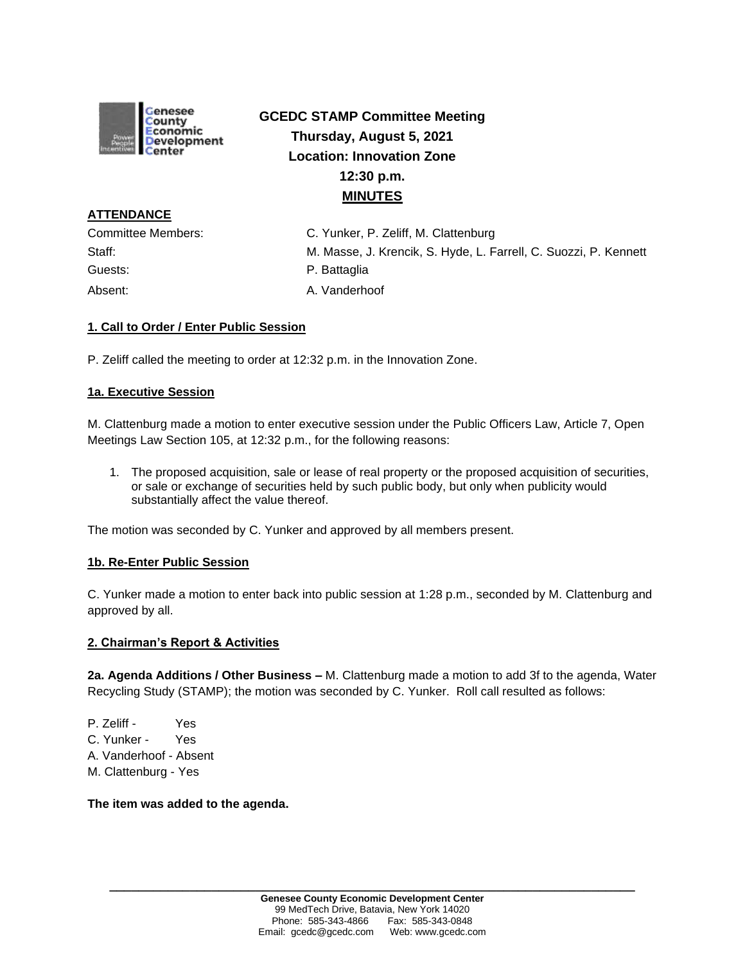

# **GCEDC STAMP Committee Meeting Thursday, August 5, 2021 Location: Innovation Zone 12:30 p.m. MINUTES**

**ATTENDANCE** Guests: **Calculate Contract Contract Contract Contract Contract Contract Contract Contract Contract Contract Contract Contract Contract Contract Contract Contract Contract Contract Contract Contract Contract Contract Contr** Absent: A. Vanderhoof

Committee Members: C. Yunker, P. Zeliff, M. Clattenburg Staff: M. Masse, J. Krencik, S. Hyde, L. Farrell, C. Suozzi, P. Kennett

## **1. Call to Order / Enter Public Session**

P. Zeliff called the meeting to order at 12:32 p.m. in the Innovation Zone.

## **1a. Executive Session**

M. Clattenburg made a motion to enter executive session under the Public Officers Law, Article 7, Open Meetings Law Section 105, at 12:32 p.m., for the following reasons:

1. The proposed acquisition, sale or lease of real property or the proposed acquisition of securities, or sale or exchange of securities held by such public body, but only when publicity would substantially affect the value thereof.

The motion was seconded by C. Yunker and approved by all members present.

## **1b. Re-Enter Public Session**

C. Yunker made a motion to enter back into public session at 1:28 p.m., seconded by M. Clattenburg and approved by all.

#### **2. Chairman's Report & Activities**

**2a. Agenda Additions / Other Business –** M. Clattenburg made a motion to add 3f to the agenda, Water Recycling Study (STAMP); the motion was seconded by C. Yunker. Roll call resulted as follows:

P. Zeliff - Yes C. Yunker - Yes A. Vanderhoof - Absent M. Clattenburg - Yes

**The item was added to the agenda.**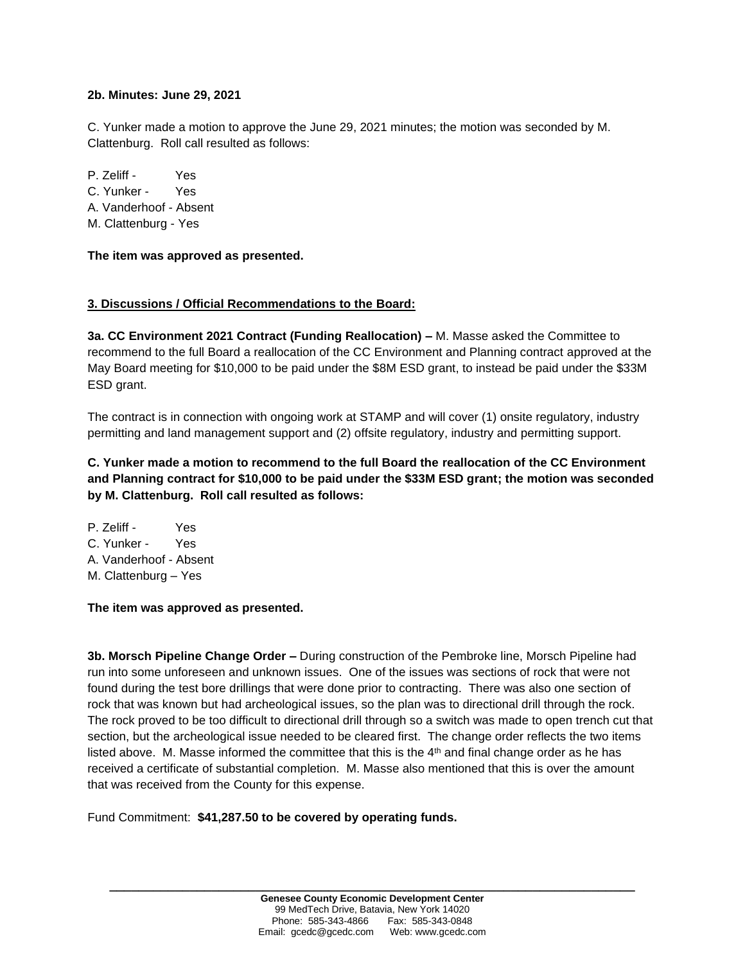### **2b. Minutes: June 29, 2021**

C. Yunker made a motion to approve the June 29, 2021 minutes; the motion was seconded by M. Clattenburg. Roll call resulted as follows:

P. Zeliff - Yes C. Yunker - Yes A. Vanderhoof - Absent M. Clattenburg - Yes

**The item was approved as presented.**

## **3. Discussions / Official Recommendations to the Board:**

**3a. CC Environment 2021 Contract (Funding Reallocation) –** M. Masse asked the Committee to recommend to the full Board a reallocation of the CC Environment and Planning contract approved at the May Board meeting for \$10,000 to be paid under the \$8M ESD grant, to instead be paid under the \$33M ESD grant.

The contract is in connection with ongoing work at STAMP and will cover (1) onsite regulatory, industry permitting and land management support and (2) offsite regulatory, industry and permitting support.

# **C. Yunker made a motion to recommend to the full Board the reallocation of the CC Environment and Planning contract for \$10,000 to be paid under the \$33M ESD grant; the motion was seconded by M. Clattenburg. Roll call resulted as follows:**

P. Zeliff - Yes C. Yunker - Yes A. Vanderhoof - Absent M. Clattenburg – Yes

**The item was approved as presented.**

**3b. Morsch Pipeline Change Order –** During construction of the Pembroke line, Morsch Pipeline had run into some unforeseen and unknown issues. One of the issues was sections of rock that were not found during the test bore drillings that were done prior to contracting. There was also one section of rock that was known but had archeological issues, so the plan was to directional drill through the rock. The rock proved to be too difficult to directional drill through so a switch was made to open trench cut that section, but the archeological issue needed to be cleared first. The change order reflects the two items listed above. M. Masse informed the committee that this is the  $4<sup>th</sup>$  and final change order as he has received a certificate of substantial completion. M. Masse also mentioned that this is over the amount that was received from the County for this expense.

Fund Commitment: **\$41,287.50 to be covered by operating funds.**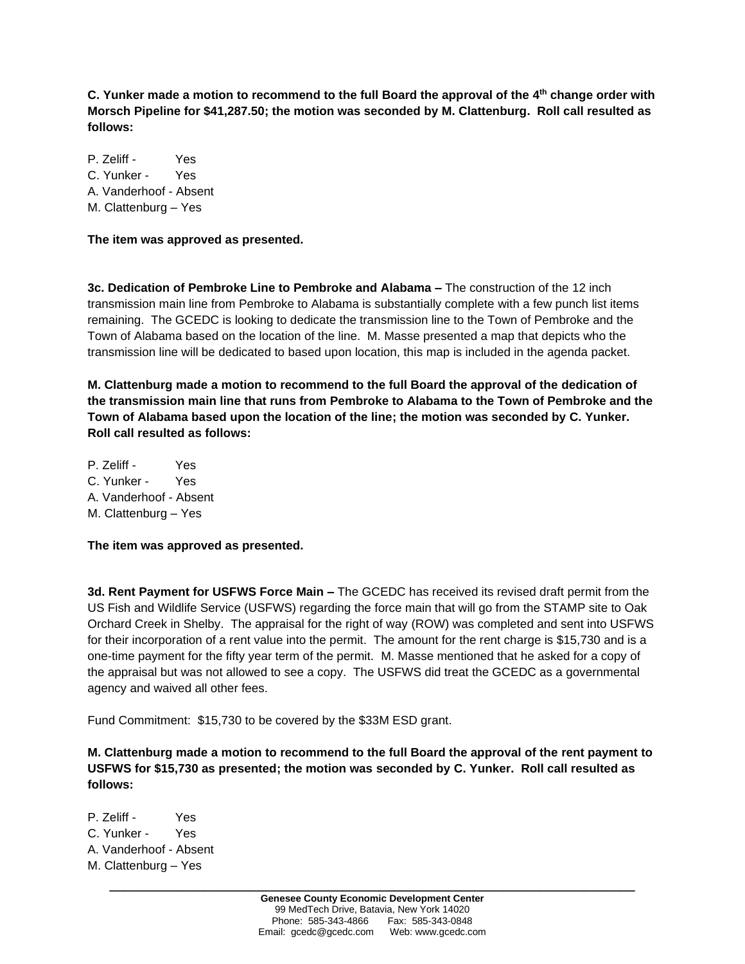**C. Yunker made a motion to recommend to the full Board the approval of the 4 th change order with Morsch Pipeline for \$41,287.50; the motion was seconded by M. Clattenburg. Roll call resulted as follows:**

P. Zeliff - Yes C. Yunker - Yes A. Vanderhoof - Absent M. Clattenburg – Yes

**The item was approved as presented.**

**3c. Dedication of Pembroke Line to Pembroke and Alabama –** The construction of the 12 inch transmission main line from Pembroke to Alabama is substantially complete with a few punch list items remaining. The GCEDC is looking to dedicate the transmission line to the Town of Pembroke and the Town of Alabama based on the location of the line. M. Masse presented a map that depicts who the transmission line will be dedicated to based upon location, this map is included in the agenda packet.

**M. Clattenburg made a motion to recommend to the full Board the approval of the dedication of the transmission main line that runs from Pembroke to Alabama to the Town of Pembroke and the Town of Alabama based upon the location of the line; the motion was seconded by C. Yunker. Roll call resulted as follows:**

P. Zeliff - Yes C. Yunker - Yes A. Vanderhoof - Absent M. Clattenburg – Yes

**The item was approved as presented.**

**3d. Rent Payment for USFWS Force Main –** The GCEDC has received its revised draft permit from the US Fish and Wildlife Service (USFWS) regarding the force main that will go from the STAMP site to Oak Orchard Creek in Shelby. The appraisal for the right of way (ROW) was completed and sent into USFWS for their incorporation of a rent value into the permit. The amount for the rent charge is \$15,730 and is a one-time payment for the fifty year term of the permit. M. Masse mentioned that he asked for a copy of the appraisal but was not allowed to see a copy. The USFWS did treat the GCEDC as a governmental agency and waived all other fees.

Fund Commitment:\$15,730 to be covered by the \$33M ESD grant.

**M. Clattenburg made a motion to recommend to the full Board the approval of the rent payment to USFWS for \$15,730 as presented; the motion was seconded by C. Yunker. Roll call resulted as follows:**

P. Zeliff - Yes C. Yunker - Yes A. Vanderhoof - Absent M. Clattenburg – Yes